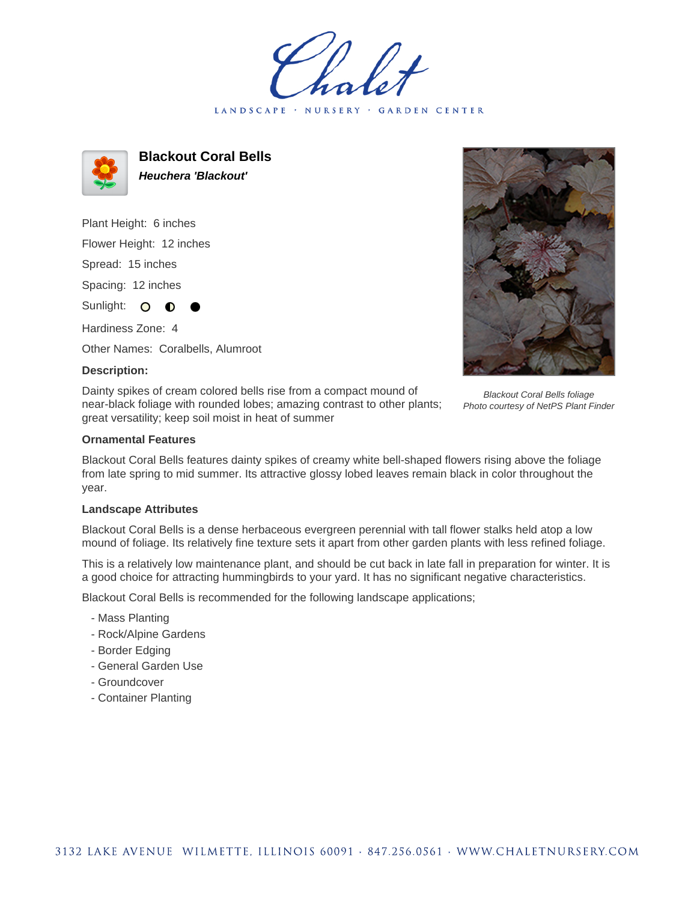LANDSCAPE · NURSERY · GARDEN CENTER



**Blackout Coral Bells Heuchera 'Blackout'**

Plant Height: 6 inches Flower Height: 12 inches Spread: 15 inches Spacing: 12 inches Sunlight: O **O** Hardiness Zone: 4

Other Names: Coralbells, Alumroot

## **Description:**

Dainty spikes of cream colored bells rise from a compact mound of near-black foliage with rounded lobes; amazing contrast to other plants; great versatility; keep soil moist in heat of summer



Blackout Coral Bells foliage Photo courtesy of NetPS Plant Finder

## **Ornamental Features**

Blackout Coral Bells features dainty spikes of creamy white bell-shaped flowers rising above the foliage from late spring to mid summer. Its attractive glossy lobed leaves remain black in color throughout the year.

## **Landscape Attributes**

Blackout Coral Bells is a dense herbaceous evergreen perennial with tall flower stalks held atop a low mound of foliage. Its relatively fine texture sets it apart from other garden plants with less refined foliage.

This is a relatively low maintenance plant, and should be cut back in late fall in preparation for winter. It is a good choice for attracting hummingbirds to your yard. It has no significant negative characteristics.

Blackout Coral Bells is recommended for the following landscape applications;

- Mass Planting
- Rock/Alpine Gardens
- Border Edging
- General Garden Use
- Groundcover
- Container Planting